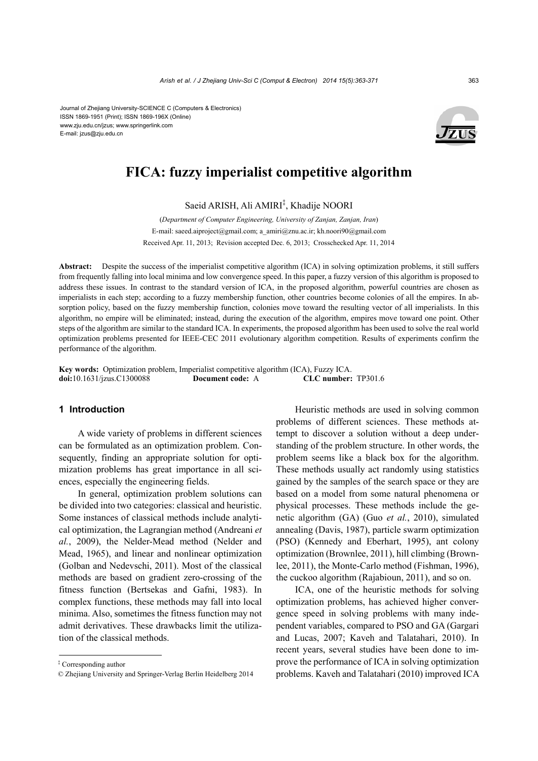

# **FICA: fuzzy imperialist competitive algorithm**

Saeid ARISH, Ali AMIRI‡ , Khadije NOORI

(*Department of Computer Engineering, University of Zanjan, Zanjan, Iran*) E-mail: saeed.aiproject@gmail.com; a\_amiri@znu.ac.ir; kh.noori90@gmail.com Received Apr. 11, 2013; Revision accepted Dec. 6, 2013; Crosschecked Apr. 11, 2014

**Abstract:** Despite the success of the imperialist competitive algorithm (ICA) in solving optimization problems, it still suffers from frequently falling into local minima and low convergence speed. In this paper, a fuzzy version of this algorithm is proposed to address these issues. In contrast to the standard version of ICA, in the proposed algorithm, powerful countries are chosen as imperialists in each step; according to a fuzzy membership function, other countries become colonies of all the empires. In absorption policy, based on the fuzzy membership function, colonies move toward the resulting vector of all imperialists. In this algorithm, no empire will be eliminated; instead, during the execution of the algorithm, empires move toward one point. Other steps of the algorithm are similar to the standard ICA. In experiments, the proposed algorithm has been used to solve the real world optimization problems presented for IEEE-CEC 2011 evolutionary algorithm competition. Results of experiments confirm the performance of the algorithm.

**Key words:** Optimization problem, Imperialist competitive algorithm (ICA), Fuzzy ICA. **doi:**10.1631/jzus.C1300088 **Document code:** A **CLC number:** TP301.6

## **1 Introduction**

A wide variety of problems in different sciences can be formulated as an optimization problem. Consequently, finding an appropriate solution for optimization problems has great importance in all sciences, especially the engineering fields.

In general, optimization problem solutions can be divided into two categories: classical and heuristic. Some instances of classical methods include analytical optimization, the Lagrangian method (Andreani *et al.*, 2009), the Nelder-Mead method (Nelder and Mead, 1965), and linear and nonlinear optimization (Golban and Nedevschi, 2011). Most of the classical methods are based on gradient zero-crossing of the fitness function (Bertsekas and Gafni, 1983). In complex functions, these methods may fall into local minima. Also, sometimes the fitness function may not admit derivatives. These drawbacks limit the utilization of the classical methods.

Heuristic methods are used in solving common problems of different sciences. These methods attempt to discover a solution without a deep understanding of the problem structure. In other words, the problem seems like a black box for the algorithm. These methods usually act randomly using statistics gained by the samples of the search space or they are based on a model from some natural phenomena or physical processes. These methods include the genetic algorithm (GA) (Guo *et al.*, 2010), simulated annealing (Davis, 1987), particle swarm optimization (PSO) (Kennedy and Eberhart, 1995), ant colony optimization (Brownlee, 2011), hill climbing (Brownlee, 2011), the Monte-Carlo method (Fishman, 1996), the cuckoo algorithm (Rajabioun, 2011), and so on.

ICA, one of the heuristic methods for solving optimization problems, has achieved higher convergence speed in solving problems with many independent variables, compared to PSO and GA (Gargari and Lucas, 2007; Kaveh and Talatahari, 2010). In recent years, several studies have been done to improve the performance of ICA in solving optimization problems. Kaveh and Talatahari (2010) improved ICA

<sup>‡</sup> Corresponding author

<sup>©</sup> Zhejiang University and Springer-Verlag Berlin Heidelberg 2014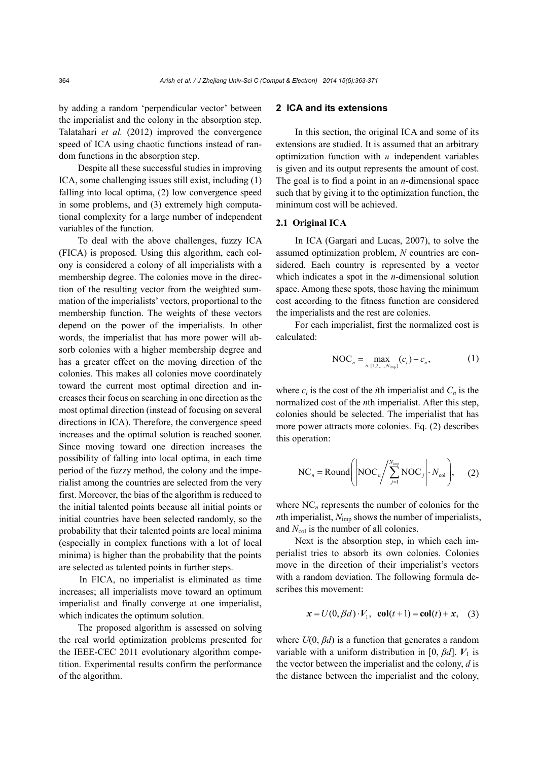by adding a random 'perpendicular vector' between the imperialist and the colony in the absorption step. Talatahari *et al.* (2012) improved the convergence speed of ICA using chaotic functions instead of random functions in the absorption step.

Despite all these successful studies in improving ICA, some challenging issues still exist, including (1) falling into local optima, (2) low convergence speed in some problems, and (3) extremely high computational complexity for a large number of independent variables of the function.

To deal with the above challenges, fuzzy ICA (FICA) is proposed. Using this algorithm, each colony is considered a colony of all imperialists with a membership degree. The colonies move in the direction of the resulting vector from the weighted summation of the imperialists' vectors, proportional to the membership function. The weights of these vectors depend on the power of the imperialists. In other words, the imperialist that has more power will absorb colonies with a higher membership degree and has a greater effect on the moving direction of the colonies. This makes all colonies move coordinately toward the current most optimal direction and increases their focus on searching in one direction as the most optimal direction (instead of focusing on several directions in ICA). Therefore, the convergence speed increases and the optimal solution is reached sooner. Since moving toward one direction increases the possibility of falling into local optima, in each time period of the fuzzy method, the colony and the imperialist among the countries are selected from the very first. Moreover, the bias of the algorithm is reduced to the initial talented points because all initial points or initial countries have been selected randomly, so the probability that their talented points are local minima (especially in complex functions with a lot of local minima) is higher than the probability that the points are selected as talented points in further steps.

In FICA, no imperialist is eliminated as time increases; all imperialists move toward an optimum imperialist and finally converge at one imperialist, which indicates the optimum solution.

The proposed algorithm is assessed on solving the real world optimization problems presented for the IEEE-CEC 2011 evolutionary algorithm competition. Experimental results confirm the performance of the algorithm.

#### **2 ICA and its extensions**

In this section, the original ICA and some of its extensions are studied. It is assumed that an arbitrary optimization function with *n* independent variables is given and its output represents the amount of cost. The goal is to find a point in an *n*-dimensional space such that by giving it to the optimization function, the minimum cost will be achieved.

## **2.1 Original ICA**

In ICA (Gargari and Lucas, 2007), to solve the assumed optimization problem, *N* countries are considered. Each country is represented by a vector which indicates a spot in the *n*-dimensional solution space. Among these spots, those having the minimum cost according to the fitness function are considered the imperialists and the rest are colonies.

For each imperialist, first the normalized cost is calculated:

$$
NOC_n = \max_{i \in \{1, 2, \dots, N_{imp}\}} (c_i) - c_n, \tag{1}
$$

where  $c_i$  is the cost of the *i*th imperialist and  $C_n$  is the normalized cost of the *n*th imperialist. After this step, colonies should be selected. The imperialist that has more power attracts more colonies. Eq. (2) describes this operation:

$$
NC_n = \text{Round}\Bigg(\left| NOC_n \middle/ \sum_{j=1}^{N_{\text{imp}}} NOC_j \right| \cdot N_{\text{col}}\Bigg), \quad (2)
$$

where  $NC_n$  represents the number of colonies for the *n*th imperialist, *N*imp shows the number of imperialists, and  $N_{\text{col}}$  is the number of all colonies.

Next is the absorption step, in which each imperialist tries to absorb its own colonies. Colonies move in the direction of their imperialist's vectors with a random deviation. The following formula describes this movement:

$$
\mathbf{x} = U(0, \beta d) \cdot V_1, \quad \text{col}(t+1) = \text{col}(t) + \mathbf{x}, \quad (3)
$$

where *U*(0, *βd*) is a function that generates a random variable with a uniform distribution in [0,  $\beta d$ ].  $V_1$  is the vector between the imperialist and the colony, *d* is the distance between the imperialist and the colony,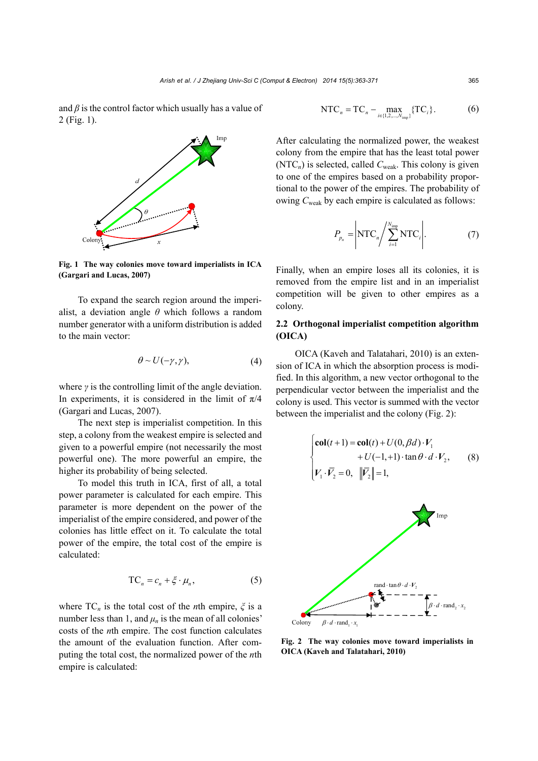and  $\beta$  is the control factor which usually has a value of 2 (Fig. 1).



**Fig. 1 The way colonies move toward imperialists in ICA (Gargari and Lucas, 2007)**

To expand the search region around the imperialist, a deviation angle *θ* which follows a random number generator with a uniform distribution is added to the main vector:

$$
\theta \sim U(-\gamma, \gamma), \tag{4}
$$

where  $\gamma$  is the controlling limit of the angle deviation. In experiments, it is considered in the limit of  $\pi/4$ (Gargari and Lucas, 2007).

The next step is imperialist competition. In this step, a colony from the weakest empire is selected and given to a powerful empire (not necessarily the most powerful one). The more powerful an empire, the higher its probability of being selected.

To model this truth in ICA, first of all, a total power parameter is calculated for each empire. This parameter is more dependent on the power of the imperialist of the empire considered, and power of the colonies has little effect on it. To calculate the total power of the empire, the total cost of the empire is calculated:

$$
TC_n = c_n + \xi \cdot \mu_n,\tag{5}
$$

where TC*n* is the total cost of the *n*th empire, *ξ* is a number less than 1, and  $\mu_n$  is the mean of all colonies' costs of the *n*th empire. The cost function calculates the amount of the evaluation function. After computing the total cost, the normalized power of the *n*th empire is calculated:

$$
NTC_n = TC_n - \max_{i \in \{1, 2, \ldots, N_{\text{imp}}\}} \{TC_i\}.
$$
 (6)

After calculating the normalized power, the weakest colony from the empire that has the least total power  $(NTC<sub>n</sub>)$  is selected, called  $C<sub>weak</sub>$ . This colony is given to one of the empires based on a probability proportional to the power of the empires. The probability of owing *C*weak by each empire is calculated as follows:

$$
P_{p_n} = \left| \text{NTC}_n \middle/ \sum_{i=1}^{N_{\text{imp}}} \text{NTC}_i \right|.
$$
 (7)

Finally, when an empire loses all its colonies, it is removed from the empire list and in an imperialist competition will be given to other empires as a colony.

### **2.2 Orthogonal imperialist competition algorithm (OICA)**

OICA (Kaveh and Talatahari, 2010) is an extension of ICA in which the absorption process is modified. In this algorithm, a new vector orthogonal to the perpendicular vector between the imperialist and the colony is used. This vector is summed with the vector between the imperialist and the colony (Fig. 2):

$$
\begin{cases}\n\text{col}(t+1) = \text{col}(t) + U(0, \beta d) \cdot V_1 \\
+ U(-1, +1) \cdot \tan \theta \cdot d \cdot V_2,\n\end{cases}
$$
\n(8)\n
$$
V_1 \cdot \overline{V_2} = 0, \quad \|\overline{V_2}\| = 1,
$$



**Fig. 2 The way colonies move toward imperialists in OICA (Kaveh and Talatahari, 2010)**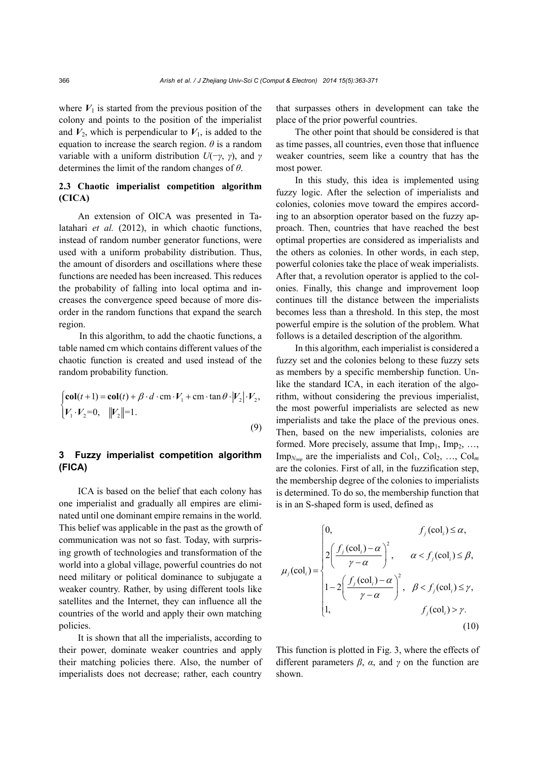where  $V_1$  is started from the previous position of the colony and points to the position of the imperialist and  $V_2$ , which is perpendicular to  $V_1$ , is added to the equation to increase the search region. *θ* is a random variable with a uniform distribution *U*(−*γ*, *γ*), and *γ* determines the limit of the random changes of *θ*.

# **2.3 Chaotic imperialist competition algorithm (CICA)**

An extension of OICA was presented in Talatahari *et al.* (2012), in which chaotic functions, instead of random number generator functions, were used with a uniform probability distribution. Thus, the amount of disorders and oscillations where these functions are needed has been increased. This reduces the probability of falling into local optima and increases the convergence speed because of more disorder in the random functions that expand the search region.

In this algorithm, to add the chaotic functions, a table named cm which contains different values of the chaotic function is created and used instead of the random probability function.

$$
\begin{cases}\n\text{col}(t+1) = \text{col}(t) + \beta \cdot d \cdot \text{cm} \cdot V_1 + \text{cm} \cdot \tan \theta \cdot |V_2| \cdot V_2, \\
V_1 \cdot V_2 = 0, \quad |V_2| = 1.\n\end{cases}
$$
\n(9)

## **3 Fuzzy imperialist competition algorithm (FICA)**

ICA is based on the belief that each colony has one imperialist and gradually all empires are eliminated until one dominant empire remains in the world. This belief was applicable in the past as the growth of communication was not so fast. Today, with surprising growth of technologies and transformation of the world into a global village, powerful countries do not need military or political dominance to subjugate a weaker country. Rather, by using different tools like satellites and the Internet, they can influence all the countries of the world and apply their own matching policies.

It is shown that all the imperialists, according to their power, dominate weaker countries and apply their matching policies there. Also, the number of imperialists does not decrease; rather, each country

that surpasses others in development can take the place of the prior powerful countries.

The other point that should be considered is that as time passes, all countries, even those that influence weaker countries, seem like a country that has the most power.

In this study, this idea is implemented using fuzzy logic. After the selection of imperialists and colonies, colonies move toward the empires according to an absorption operator based on the fuzzy approach. Then, countries that have reached the best optimal properties are considered as imperialists and the others as colonies. In other words, in each step, powerful colonies take the place of weak imperialists. After that, a revolution operator is applied to the colonies. Finally, this change and improvement loop continues till the distance between the imperialists becomes less than a threshold. In this step, the most powerful empire is the solution of the problem. What follows is a detailed description of the algorithm.

In this algorithm, each imperialist is considered a fuzzy set and the colonies belong to these fuzzy sets as members by a specific membership function. Unlike the standard ICA, in each iteration of the algorithm, without considering the previous imperialist, the most powerful imperialists are selected as new imperialists and take the place of the previous ones. Then, based on the new imperialists, colonies are formed. More precisely, assume that  $Imp_1$ ,  $Imp_2$ , ..., Imp<sub>*N*imp</sub> are the imperialists and Col<sub>1</sub>, Col<sub>2</sub>, ..., Col<sub>m</sub> are the colonies. First of all, in the fuzzification step, the membership degree of the colonies to imperialists is determined. To do so, the membership function that is in an S-shaped form is used, defined as

$$
\mu_j(\text{col}_i) = \begin{cases}\n0, & f_j(\text{col}_i) \le \alpha, \\
2\left(\frac{f_j(\text{col}_i) - \alpha}{\gamma - \alpha}\right)^2, & \alpha < f_j(\text{col}_i) \le \beta, \\
1 - 2\left(\frac{f_j(\text{col}_i) - \alpha}{\gamma - \alpha}\right)^2, & \beta < f_j(\text{col}_i) \le \gamma, \\
1, & f_j(\text{col}_i) > \gamma.\n\end{cases}
$$
\n(10)

This function is plotted in Fig. 3, where the effects of different parameters *β*, *α*, and *γ* on the function are shown.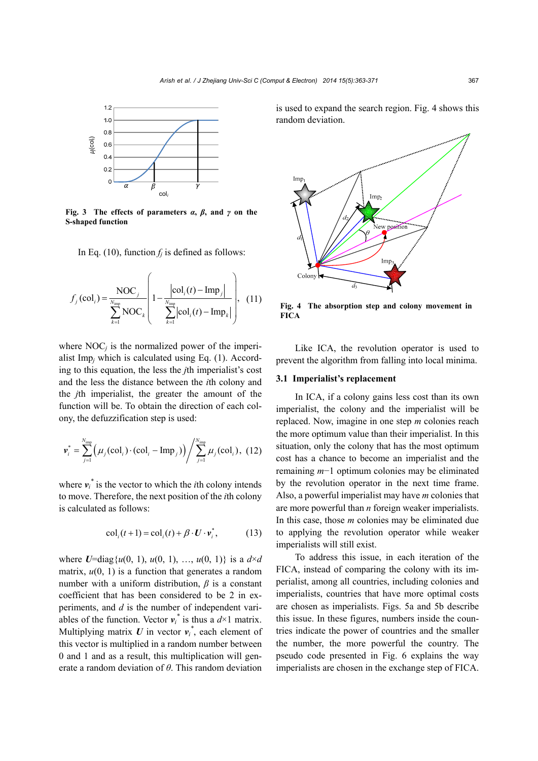

**Fig. 3** The effects of parameters  $\alpha$ ,  $\beta$ , and  $\gamma$  on the **S-shaped function**

In Eq. (10), function  $f_i$  is defined as follows:

$$
f_j(\text{col}_i) = \frac{\text{NOC}_j}{\sum_{k=1}^{N_{\text{imp}}} \text{NOC}_k} \left( 1 - \frac{|\text{col}_i(t) - \text{Imp}_j|}{\sum_{k=1}^{N_{\text{imp}}} |\text{col}_i(t) - \text{Imp}_k|} \right), \quad (11)
$$

where  $NOC<sub>i</sub>$  is the normalized power of the imperialist Imp*<sup>j</sup>* which is calculated using Eq. (1). According to this equation, the less the *j*th imperialist's cost and the less the distance between the *i*th colony and the *j*th imperialist, the greater the amount of the function will be. To obtain the direction of each colony, the defuzzification step is used:

$$
\mathbf{v}_{i}^{*} = \sum_{j=1}^{N_{\text{imp}}} \left( \mu_{j}(\text{col}_{i}) \cdot (\text{col}_{i} - \text{Imp}_{j}) \right) / \sum_{j=1}^{N_{\text{imp}}} \mu_{j}(\text{col}_{i}), \ (12)
$$

where  $v_i^*$  is the vector to which the *i*th colony intends to move. Therefore, the next position of the *i*th colony is calculated as follows:

$$
\mathrm{col}_i(t+1) = \mathrm{col}_i(t) + \beta \cdot \mathbf{U} \cdot \mathbf{v}_i^*,\tag{13}
$$

where  $U = \text{diag}\{u(0, 1), u(0, 1), ..., u(0, 1)\}\)$  is a  $d \times d$ matrix,  $u(0, 1)$  is a function that generates a random number with a uniform distribution,  $\beta$  is a constant coefficient that has been considered to be 2 in experiments, and *d* is the number of independent variables of the function. Vector  $v_i^*$  is thus a  $d \times 1$  matrix. Multiplying matrix  $U$  in vector  $v_i^*$ , each element of this vector is multiplied in a random number between 0 and 1 and as a result, this multiplication will generate a random deviation of *θ*. This random deviation

is used to expand the search region. Fig. 4 shows this random deviation.



**Fig. 4 The absorption step and colony movement in FICA**

Like ICA, the revolution operator is used to prevent the algorithm from falling into local minima.

#### **3.1 Imperialist's replacement**

In ICA, if a colony gains less cost than its own imperialist, the colony and the imperialist will be replaced. Now, imagine in one step *m* colonies reach the more optimum value than their imperialist. In this situation, only the colony that has the most optimum cost has a chance to become an imperialist and the remaining *m*−1 optimum colonies may be eliminated by the revolution operator in the next time frame. Also, a powerful imperialist may have *m* colonies that are more powerful than *n* foreign weaker imperialists. In this case, those *m* colonies may be eliminated due to applying the revolution operator while weaker imperialists will still exist.

To address this issue, in each iteration of the FICA, instead of comparing the colony with its imperialist, among all countries, including colonies and imperialists, countries that have more optimal costs are chosen as imperialists. Figs. 5a and 5b describe this issue. In these figures, numbers inside the countries indicate the power of countries and the smaller the number, the more powerful the country. The pseudo code presented in Fig. 6 explains the way imperialists are chosen in the exchange step of FICA.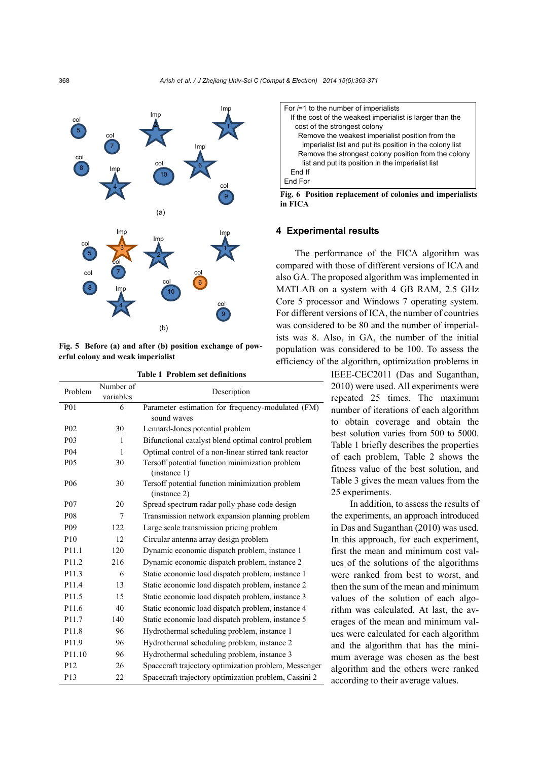

**Fig. 5 Before (a) and after (b) position exchange of powerful colony and weak imperialist**

**Table 1 Problem set definitions**

| Problem            | Number of    | Description                                                     |  |  |  |
|--------------------|--------------|-----------------------------------------------------------------|--|--|--|
|                    | variables    |                                                                 |  |  |  |
| P <sub>0</sub> 1   | 6            | Parameter estimation for frequency-modulated (FM)               |  |  |  |
|                    |              | sound waves                                                     |  |  |  |
| P <sub>02</sub>    | 30           | Lennard-Jones potential problem                                 |  |  |  |
| P <sub>0</sub> 3   | $\mathbf{1}$ | Bifunctional catalyst blend optimal control problem             |  |  |  |
| P <sub>04</sub>    | 1            | Optimal control of a non-linear stirred tank reactor            |  |  |  |
| P <sub>05</sub>    | 30           | Tersoff potential function minimization problem<br>(instance 1) |  |  |  |
| P <sub>06</sub>    | 30           | Tersoff potential function minimization problem<br>(instance 2) |  |  |  |
| <b>P07</b>         | 20           | Spread spectrum radar polly phase code design                   |  |  |  |
| P <sub>08</sub>    | 7            | Transmission network expansion planning problem                 |  |  |  |
| P <sub>09</sub>    | 122          | Large scale transmission pricing problem                        |  |  |  |
| P <sub>10</sub>    | 12           | Circular antenna array design problem                           |  |  |  |
| P <sub>11.1</sub>  | 120          | Dynamic economic dispatch problem, instance 1                   |  |  |  |
| P <sub>11.2</sub>  | 216          | Dynamic economic dispatch problem, instance 2                   |  |  |  |
| P <sub>11.3</sub>  | 6            | Static economic load dispatch problem, instance 1               |  |  |  |
| P <sub>11.4</sub>  | 13           | Static economic load dispatch problem, instance 2               |  |  |  |
| P <sub>11.5</sub>  | 15           | Static economic load dispatch problem, instance 3               |  |  |  |
| P <sub>11.6</sub>  | 40           | Static economic load dispatch problem, instance 4               |  |  |  |
| P <sub>11.7</sub>  | 140          | Static economic load dispatch problem, instance 5               |  |  |  |
| P <sub>11.8</sub>  | 96           | Hydrothermal scheduling problem, instance 1                     |  |  |  |
| P <sub>11.9</sub>  | 96           | Hydrothermal scheduling problem, instance 2                     |  |  |  |
| P <sub>11.10</sub> | 96           | Hydrothermal scheduling problem, instance 3                     |  |  |  |
| P <sub>12</sub>    | 26           | Spacecraft trajectory optimization problem, Messenger           |  |  |  |
| P <sub>13</sub>    | 22           | Spacecraft trajectory optimization problem, Cassini 2           |  |  |  |

| For $i=1$ to the number of imperialists                   |
|-----------------------------------------------------------|
| If the cost of the weakest imperialist is larger than the |
| cost of the strongest colony                              |
| Remove the weakest imperialist position from the          |
| imperialist list and put its position in the colony list  |
| Remove the strongest colony position from the colony      |
| list and put its position in the imperialist list         |
| End If                                                    |
| End For                                                   |
|                                                           |

**Fig. 6 Position replacement of colonies and imperialists in FICA**

#### **4 Experimental results**

The performance of the FICA algorithm was compared with those of different versions of ICA and also GA. The proposed algorithm was implemented in MATLAB on a system with 4 GB RAM, 2.5 GHz Core 5 processor and Windows 7 operating system. For different versions of ICA, the number of countries was considered to be 80 and the number of imperialists was 8. Also, in GA, the number of the initial population was considered to be 100. To assess the efficiency of the algorithm, optimization problems in

> IEEE-CEC2011 (Das and Suganthan, 2010) were used. All experiments were repeated 25 times. The maximum number of iterations of each algorithm to obtain coverage and obtain the best solution varies from 500 to 5000. Table 1 briefly describes the properties of each problem, Table 2 shows the fitness value of the best solution, and Table 3 gives the mean values from the 25 experiments.

In addition, to assess the results of the experiments, an approach introduced in Das and Suganthan (2010) was used. In this approach, for each experiment, first the mean and minimum cost values of the solutions of the algorithms were ranked from best to worst, and then the sum of the mean and minimum values of the solution of each algorithm was calculated. At last, the averages of the mean and minimum values were calculated for each algorithm and the algorithm that has the minimum average was chosen as the best algorithm and the others were ranked according to their average values.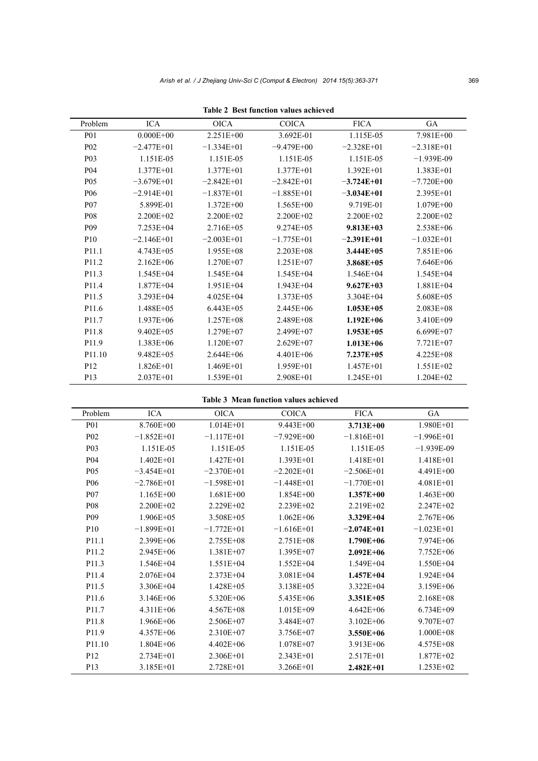| Problem           | <b>ICA</b>     | <b>OICA</b>   | <b>COICA</b>   | <b>FICA</b>    | <b>GA</b>      |
|-------------------|----------------|---------------|----------------|----------------|----------------|
| <b>P01</b>        | $0.000E + 00$  | $2.251E+00$   | 3.692E-01      | 1.115E-05      | $7.981E + 00$  |
| P <sub>0</sub> 2  | $-2.477E+01$   | $-1.334E+01$  | $-9.479E + 00$ | $-2.328E+01$   | $-2.318E+01$   |
| P <sub>0</sub> 3  | 1.151E-05      | 1.151E-05     | 1.151E-05      | 1.151E-05      | $-1.939E-09$   |
| P <sub>04</sub>   | $1.377E + 01$  | $1.377E + 01$ | 1.377E+01      | $1.392E + 01$  | $1.383E + 01$  |
| P <sub>05</sub>   | $-3.679E+01$   | $-2.842E+01$  | $-2.842E+01$   | $-3.724E+01$   | $-7.720E + 00$ |
| P <sub>06</sub>   | $-2.914E+01$   | $-1.837E+01$  | $-1.885E+01$   | $-3.034E+01$   | $2.395E + 01$  |
| <b>P07</b>        | 5.899E-01      | $1.372E + 00$ | $1.565E+00$    | 9.719E-01      | $1.079E + 00$  |
| P <sub>08</sub>   | $2.200E + 02$  | $2.200E + 02$ | $2.200E + 02$  | $2.200E+02$    | $2.200E+02$    |
| P <sub>09</sub>   | $7.253E+04$    | 2.716E+05     | $9.274E + 05$  | $9.813E + 03$  | 2.538E+06      |
| P <sub>10</sub>   | $-2.146E+01$   | $-2.003E+01$  | $-1.775E+01$   | $-2.391E+01$   | $-1.032E+01$   |
| P <sub>11.1</sub> | $4.743E + 05$  | $1.955E+08$   | $2.203E + 08$  | $3.444E + 05$  | 7.851E+06      |
| P11.2             | $2.162E + 06$  | $1.270E + 07$ | $1.251E+07$    | $3.868E + 05$  | $7.646E + 06$  |
| P11.3             | 1.545E+04      | $1.545E + 04$ | 1.545E+04      | $1.546E+04$    | $1.545E + 04$  |
| P11.4             | 1.877E+04      | $1.951E + 04$ | $1.943E + 04$  | $9.627E + 03$  | $1.881E + 04$  |
| P11.5             | $3.293E + 04$  | 4.025E+04     | $1.373E + 0.5$ | $3.304E + 04$  | $5.608E + 05$  |
| P11.6             | 1.488E+05      | $6.443E+05$   | $2.445E + 06$  | $1.053E + 05$  | $2.083E + 08$  |
| P11.7             | $1.937E + 06$  | $1.257E + 08$ | 2.489E+08      | $1.192E + 06$  | 3.410E+09      |
| P11.8             | $9.402E + 05$  | $1.279E + 07$ | 2.499E+07      | $1.953E+05$    | $6.699E+07$    |
| P <sub>11.9</sub> | $1.383E + 06$  | $1.120E + 07$ | $2.629E + 07$  | $1.013E + 06$  | 7.721E+07      |
| P11.10            | $9.482E + 0.5$ | $2.644E + 06$ | $4.401E + 06$  | $7.237E + 0.5$ | 4.225E+08      |
| P <sub>12</sub>   | $1.826E + 01$  | $1.469E + 01$ | 1.959E+01      | $1.457E + 01$  | $1.551E+02$    |
| P <sub>13</sub>   | $2.037E + 01$  | $1.539E + 01$ | $2.908E + 01$  | $1.245E + 01$  | $1.204E + 02$  |

**Table 2 Best function values achieved**

**Table 3 Mean function values achieved**

| Problem            | <b>ICA</b>    | <b>OICA</b>   | <b>COICA</b>  | <b>FICA</b>   | GA            |
|--------------------|---------------|---------------|---------------|---------------|---------------|
| <b>P01</b>         | 8.760E+00     | $1.014E + 01$ | $9.443E + 00$ | $3.713E + 00$ | $1.980E + 01$ |
| P <sub>0</sub> 2   | $-1.852E+01$  | $-1.117E+01$  | $-7.929E+00$  | $-1.816E+01$  | $-1.996E+01$  |
| P <sub>0</sub> 3   | 1.151E-05     | 1.151E-05     | 1.151E-05     | 1.151E-05     | $-1.939E-09$  |
| P <sub>04</sub>    | $1.402E + 01$ | $1.427E + 01$ | $1.393E+01$   | $1.418E + 01$ | $1.418E + 01$ |
| <b>P05</b>         | $-3.454E+01$  | $-2.370E+01$  | $-2.202E+01$  | $-2.506E+01$  | $4.491E+00$   |
| <b>P06</b>         | $-2.786E+01$  | $-1.598E+01$  | $-1.448E+01$  | $-1.770E+01$  | $4.081E + 01$ |
| <b>P07</b>         | $1.165E+00$   | $1.681E + 00$ | $1.854E+00$   | $1.357E + 00$ | $1.463E+00$   |
| <b>P08</b>         | $2.200E + 02$ | $2.229E+02$   | $2.239E+02$   | $2.219E+02$   | $2.247E+02$   |
| P <sub>09</sub>    | $1.906E + 05$ | $3.508E + 05$ | $1.062E + 06$ | $3.329E + 04$ | $2.767E + 06$ |
| P <sub>10</sub>    | $-1.899E+01$  | $-1.772E+01$  | $-1.616E+01$  | $-2.074E+01$  | $-1.023E+01$  |
| P11.1              | $2.399E + 06$ | $2.755E+08$   | $2.751E + 08$ | $1.790E + 06$ | $7.974E + 06$ |
| P11.2              | 2.945E+06     | $1.381E+07$   | $1.395E+07$   | $2.092E + 06$ | $7.752E + 06$ |
| P <sub>11.3</sub>  | $1.546E + 04$ | $1.551E+04$   | $1.552E + 04$ | $1.549E + 04$ | $1.550E + 04$ |
| P11.4              | $2.076E + 04$ | $2.373E + 04$ | $3.081E + 04$ | $1.457E + 04$ | $1.924E + 04$ |
| P <sub>11.5</sub>  | 3.306E+04     | $1.428E + 05$ | 3.138E+05     | $3.322E + 04$ | $3.159E + 06$ |
| P11.6              | $3.146E + 06$ | $5.320E + 06$ | 5.435E+06     | $3.351E + 05$ | $2.168E + 08$ |
| P11.7              | $4.311E + 06$ | $4.567E + 08$ | $1.015E + 09$ | $4.642E + 06$ | $6.734E+09$   |
| P <sub>11.8</sub>  | $1.966E + 06$ | $2.506E+07$   | 3.484E+07     | $3.102E + 06$ | $9.707E + 07$ |
| P11.9              | $4.357E + 06$ | $2.310E+07$   | 3.756E+07     | $3.550E + 06$ | $1.000E + 08$ |
| P <sub>11.10</sub> | $1.804E + 06$ | $4.402E + 06$ | $1.078E + 07$ | $3.913E + 06$ | 4.575E+08     |
| P <sub>12</sub>    | $2.734E + 01$ | $2.306E + 01$ | $2.343E+01$   | $2.517E + 01$ | $1.877E + 02$ |
| P <sub>13</sub>    | 3.185E+01     | $2.728E + 01$ | $3.266E + 01$ | $2.482E + 01$ | $1.253E+02$   |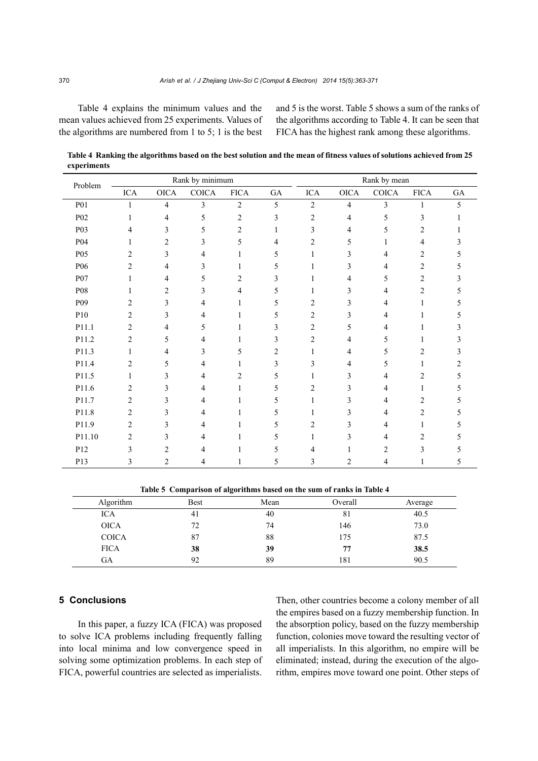Table 4 explains the minimum values and the mean values achieved from 25 experiments. Values of the algorithms are numbered from 1 to 5; 1 is the best and 5 is the worst. Table 5 shows a sum of the ranks of the algorithms according to Table 4. It can be seen that FICA has the highest rank among these algorithms.

**Table 4 Ranking the algorithms based on the best solution and the mean of fitness values of solutions achieved from 25 experiments** 

| Problem         | Rank by minimum |                |             |                |                | Rank by mean   |                |             |                |            |
|-----------------|-----------------|----------------|-------------|----------------|----------------|----------------|----------------|-------------|----------------|------------|
|                 | $\rm ICA$       | <b>OICA</b>    | $\rm COICA$ | ${\rm FICA}$   | ${\rm GA}$     | $\rm ICA$      | <b>OICA</b>    | $\rm COICA$ | ${\rm FICA}$   | ${\rm GA}$ |
| <b>P01</b>      |                 | $\overline{4}$ | 3           | $\overline{c}$ | 5              | $\overline{c}$ | $\overline{4}$ | 3           | 1              | 5          |
| P02             |                 | 4              | 5           | $\overline{c}$ | 3              | $\overline{c}$ | 4              | 5           | 3              |            |
| P03             | 4               | 3              | 5           | 2              |                | 3              | 4              | 5           | 2              |            |
| P04             |                 | 2              | 3           | 5              | 4              | $\overline{c}$ | 5              |             | 4              | 3          |
| P05             | 2               | 3              | 4           |                | 5              |                | 3              | 4           | 2              | 5          |
| P <sub>06</sub> | 2               | 4              | 3           |                | 5              | 1              | 3              | 4           | 2              |            |
| P07             |                 | 4              | 5           | 2              | 3              | 1              | 4              | 5           | 2              | 3          |
| P08             |                 | 2              | 3           | 4              | 5              | 1              | 3              | 4           | 2              |            |
| P <sub>09</sub> | $\overline{2}$  | 3              | 4           |                | 5              | 2              | 3              | 4           | 1              | 5          |
| P10             | $\overline{c}$  | 3              | 4           |                | 5              | $\overline{c}$ | 3              | 4           |                | 5          |
| P11.1           | $\overline{2}$  | 4              | 5           |                | 3              | $\overline{c}$ | 5              | 4           |                | 3          |
| P11.2           | 2               | 5              | 4           |                | 3              | 2              | 4              | 5           |                | 3          |
| P11.3           |                 | 4              | 3           | 5              | $\overline{c}$ |                | 4              | 5           | 2              | 3          |
| P11.4           | $\overline{c}$  | 5.             | 4           |                | 3              | 3              | 4              | 5           |                | 2          |
| P11.5           |                 | 3              | 4           | 2              | 5              |                | 3              | 4           | $\overline{c}$ | 5          |
| P11.6           | 2               | 3              | 4           |                | 5              | 2              | 3              | 4           |                | 5          |
| P11.7           | 2               | 3              | 4           |                | 5              | 1              | 3              | 4           | 2              | 5          |
| P11.8           | $\overline{2}$  | 3              | 4           |                | 5              | 1              | 3              | 4           | 2              | 5          |
| P11.9           | 2               | 3              | 4           |                | 5              | $\overline{c}$ | 3              | 4           | 1              | 5          |
| P11.10          | $\overline{2}$  | 3              | 4           |                | 5              | 1              | 3              | 4           | 2              | 5          |
| P12             | 3               | 2              | 4           |                | 5              | 4              |                | 2           | 3              | 5          |
| P13             | 3               | 2              | 4           |                | 5              | 3              | 2              | 4           |                | 5          |

**Table 5 Comparison of algorithms based on the sum of ranks in Table 4**

| Algorithm    | <b>Best</b> | Mean | Overall | Average |
|--------------|-------------|------|---------|---------|
| <b>ICA</b>   | 41          | 40   | 81      | 40.5    |
| <b>OICA</b>  | 72          | 74   | 146     | 73.0    |
| <b>COICA</b> | 87          | 88   | 175     | 87.5    |
| <b>FICA</b>  | 38          | 39   | 77      | 38.5    |
| GА           | 92          | 89   | 181     | 90.5    |

## **5 Conclusions**

In this paper, a fuzzy ICA (FICA) was proposed to solve ICA problems including frequently falling into local minima and low convergence speed in solving some optimization problems. In each step of FICA, powerful countries are selected as imperialists.

Then, other countries become a colony member of all the empires based on a fuzzy membership function. In the absorption policy, based on the fuzzy membership function, colonies move toward the resulting vector of all imperialists. In this algorithm, no empire will be eliminated; instead, during the execution of the algorithm, empires move toward one point. Other steps of